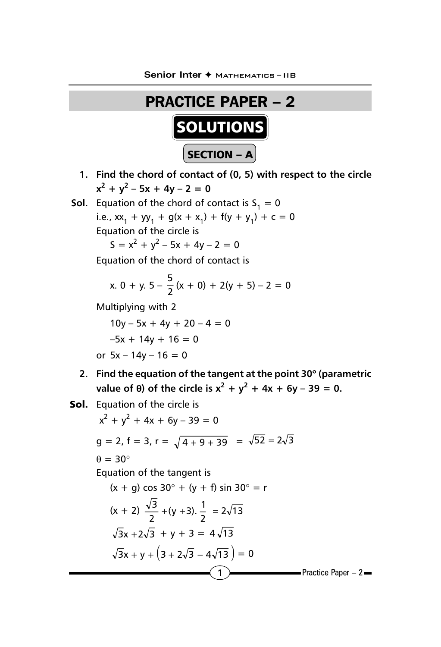

- **1. Find the chord of contact of (0, 5) with respect to the circle**  $x^2 + y^2 - 5x + 4y - 2 = 0$
- **Sol.** Equation of the chord of contact is  $S_1 = 0$

i.e.,  $xx_1 + yy_1 + g(x + x_1) + f(y + y_1) + c = 0$ Equation of the circle is

 $S = x^2 + y^2 - 5x + 4y - 2 = 0$ 

Equation of the chord of contact is

x. 0 + y. 5 - 
$$
\frac{5}{2}
$$
(x + 0) + 2(y + 5) - 2 = 0

Multiplying with 2

 $10y - 5x + 4y + 20 - 4 = 0$  $-5x + 14y + 16 = 0$ or  $5x - 14y - 16 = 0$ 

- **2. Find the equation of the tangent at the point 30**° **(parametric value of**  $\theta$ **) of the circle is**  $x^2 + y^2 + 4x + 6y - 39 = 0$ **.**
- Sol. Equation of the circle is

$$
x^{2} + y^{2} + 4x + 6y - 39 = 0
$$
  
\n
$$
g = 2, f = 3, r = \sqrt{4 + 9 + 39} = \sqrt{52} = 2\sqrt{3}
$$
  
\n
$$
\theta = 30^{\circ}
$$
  
\nEquation of the tangent is  
\n
$$
(x + g) \cos 30^{\circ} + (y + f) \sin 30^{\circ} = r
$$
  
\n
$$
(x + 2) \frac{\sqrt{3}}{2} + (y + 3) \cdot \frac{1}{2} = 2\sqrt{13}
$$
  
\n
$$
\sqrt{3}x + 2\sqrt{3} + y + 3 = 4\sqrt{13}
$$
  
\n
$$
\sqrt{3}x + y + (3 + 2\sqrt{3} - 4\sqrt{13}) = 0
$$
  
\nPractice Paper - 2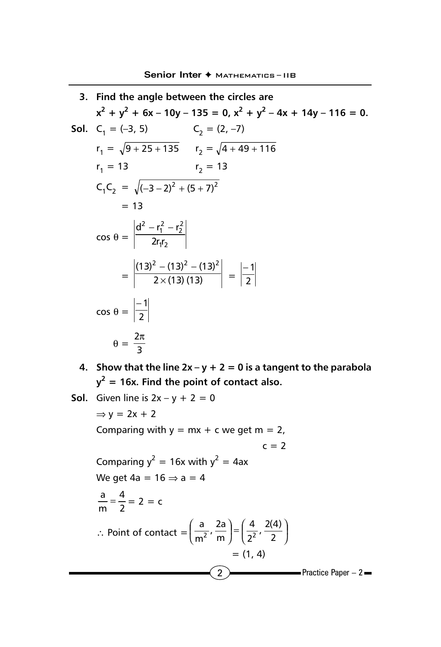3. Find the angle between the circles are  
\n
$$
x^2 + y^2 + 6x - 10y - 135 = 0
$$
,  $x^2 + y^2 - 4x + 14y - 116 = 0$ .  
\nSol.  $C_1 = (-3, 5)$   $C_2 = (2, -7)$   
\n $r_1 = \sqrt{9 + 25 + 135}$   $r_2 = \sqrt{4 + 49 + 116}$   
\n $r_1 = 13$   $r_2 = 13$   
\n $C_1C_2 = \sqrt{(-3 - 2)^2 + (5 + 7)^2}$   
\n $= 13$   
\n $\cos \theta = \frac{d^2 - r_1^2 - r_2^2}{2r_1r_2}$   
\n $= \frac{(13)^2 - (13)^2 - (13)^2}{2 \times (13)(13)} = \frac{-1}{2}$   
\n $\cos \theta = \frac{-1}{2}$   
\n $\theta = \frac{2\pi}{3}$ 

- **4.** Show that the line  $2x y + 2 = 0$  is a tangent to the parabola  $y^2$  = 16x. Find the point of contact also.
- **Sol.** Given line is  $2x y + 2 = 0$

2 **Practice Paper – 2**  $\Rightarrow$  y = 2x + 2 Comparing with  $y = mx + c$  we get  $m = 2$ ,  $c = 2$ Comparing  $y^2 = 16x$  with  $y^2 = 4ax$ We get  $4a = 16 \Rightarrow a = 4$ 2 4  $\frac{a}{m} = \frac{4}{2} = 2 = c$ ∴ Point of contact  $=\left(\frac{2}{m^2}, \frac{2}{m}\right) = \left(\frac{1}{2^2}, \frac{2}{2}\right)$  $\left(\frac{4}{2}, \frac{2(4)}{2}\right)$ l  $=$  $\overline{1}$  $\left(\frac{a}{2}, \frac{2a}{2}\right)$ l ſ  $\frac{4}{2^2}$ ,  $\frac{2(4)}{2}$  $\frac{a}{m^2}$ ,  $\frac{2a}{m}$  $2^{\prime}$  m  $\vert$   $\vert$   $\vert$   $\vert$   $\vert$   $\vert$   $\vert$  $= (1, 4)$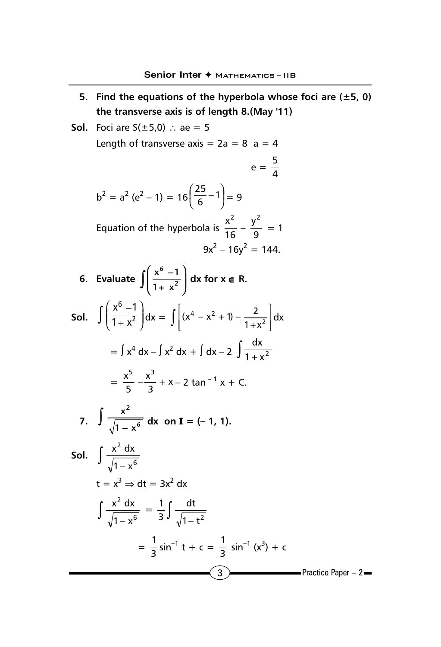- **5. Find the equations of the hyperbola whose foci are (±5, 0) the transverse axis is of length 8.(May '11)**
- $\overline{3}$  Practice Paper 2 **Sol.** Foci are  $S(±5,0)$  ∴ ae = 5 Length of transverse axis =  $2a = 8$  a = 4  $e = \frac{5}{4}$  $b^2 = a^2 (e^2 - 1) = 16 \left( \frac{25}{6} - 1 \right)$  $\left(\frac{25}{5}-1\right)$ l  $\left(\frac{25}{6}-1\right)$ 25  $= 9$ Equation of the hyperbola is  $\frac{1}{16}$  $x^2$  $-\frac{y}{9}$  $\frac{y^2}{2} = 1$  $9x^2 - 16y^2 = 144$ . **6. Evaluate 6 2 x**<sup>o</sup> –1  $\int \left( \frac{x^6 - 1}{1 + x^2} \right) dx$  for  $x \in R$ . **Sol.** 6  $x^6 - 1$  $\int \left( \frac{x^6 - 1}{1 + x^2} \right) dx = \int \left[ (x^4 - x^2 + 1) - \frac{2}{1 + x^2} \right]$ J  $\overline{\phantom{a}}$  $\overline{\phantom{a}}$  $\overline{\mathsf{L}}$  $(x^4 - x^2 + 1) - \frac{2}{1 + x^2}$  $(x^4 - x^2 + 1) - \frac{2}{1 + x^2} dx$  $=$   $\int x^4 dx - \int x^2 dx + \int dx - 2 \int \frac{dx}{1 + x^2}$  $= \frac{x}{5} - \frac{x}{3} + x$ x 5  $\frac{x^5}{5} - \frac{x^3}{2} + x - 2 \tan^{-1} x + C.$ **7. 2 6**  $\int \frac{x^2}{\sqrt{1-x^6}} dx$  on **I** = (– 1, 1). **Sol.**  $\int \frac{x^2 dx}{\sqrt{1-x^6}}$  $1 - x$ x<sup>2</sup> dx  $t = x^3 \Rightarrow dt = 3x^2 dx$  $\int \frac{x^2 dx}{\sqrt{1-x^6}}$  $rac{x^2 dx}{\sqrt{1-x^6}} = \frac{1}{3} \int \frac{dt}{\sqrt{1-t^2}}$ 3 1  $=$   $\frac{1}{3}$  sin<sup>-1</sup> t + c =  $\frac{1}{3}$  sin<sup>-1</sup> (x<sup>3</sup>) + c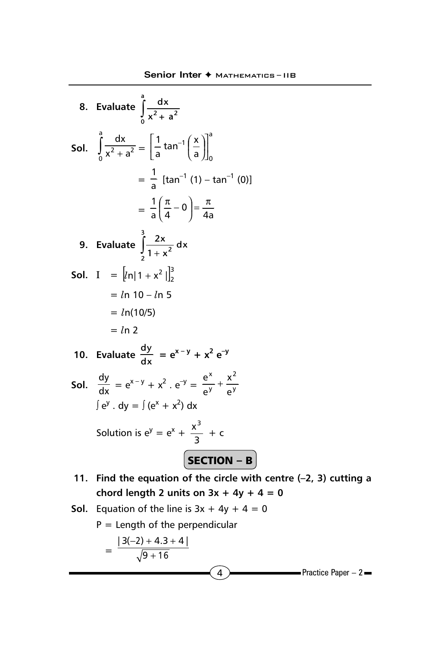8. Evaluate 
$$
\int_{0}^{a} \frac{dx}{x^2 + a^2}
$$
  
\n5ol.  $\int_{0}^{a} \frac{dx}{x^2 + a^2} = \left[\frac{1}{a} \tan^{-1} \left(\frac{x}{a}\right)\right]_{0}^{a}$   
\n $= \frac{1}{a} [\tan^{-1}(1) - \tan^{-1}(0)]$   
\n $= \frac{1}{a} \left(\frac{\pi}{4} - 0\right) = \frac{\pi}{4a}$   
\n9. Evaluate  $\int_{2}^{3} \frac{2x}{1 + x^2} dx$   
\n5ol.  $I = [ln|1 + x^2|]_{2}^{3}$   
\n $= ln 10 - ln 5$   
\n $= ln(10/5)$   
\n $= ln 2$   
\n10. Evaluate  $\frac{dy}{dx} = e^{x-y} + x^2 e^{-y}$   
\nSol.  $\frac{dy}{dx} = e^{x-y} + x^2 \cdot e^{-y} = \frac{e^x}{e^y} + \frac{x^2}{e^y}$   
\n $\int e^y \cdot dy = \int (e^x + x^2) dx$   
\nSolution is  $e^y = e^x + \frac{x^3}{3} + c$   
\n**SECTION - B**  
\n11. Find the equation of the circle with

- **11. Find the equation of the circle with centre (–2, 3) cutting a** chord length 2 units on  $3x + 4y + 4 = 0$
- **Sol.** Equation of the line is  $3x + 4y + 4 = 0$

P = Length of the perpendicular  
= 
$$
\frac{|3(-2) + 4 \cdot 3 + 4|}{\sqrt{9 + 16}}
$$
  
Q  
Practice Paper – 2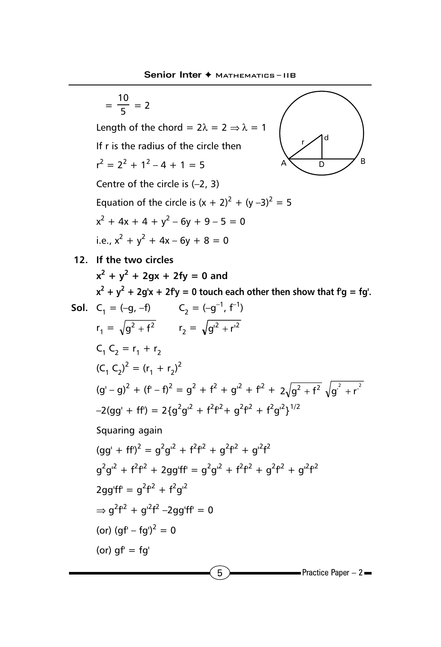$=\frac{10}{5}$  = 2 Length of the chord =  $2\lambda = 2 \Rightarrow \lambda = 1$ If r is the radius of the circle then  $r^2 = 2^2 + 1^2 - 4 + 1 = 5$ Centre of the circle is (–2, 3) Equation of the circle is  $(x + 2)^2 + (y - 3)^2 = 5$  $x^{2} + 4x + 4 + y^{2} - 6y + 9 - 5 = 0$ i.e.,  $x^2 + y^2 + 4x - 6y + 8 = 0$ 



**12. If the two circles**

 $x^2 + y^2 + 2gx + 2fy = 0$  and  $x^2 + y^2 + 2g'x + 2fy = 0$  touch each other then show that  $fg = fg'.$ 

Sol. 
$$
C_1 = (-g, -f)
$$
  $C_2 = (-g^{-1}, f^{-1})$ 

\n
$$
r_1 = \sqrt{g^2 + f^2}
$$
\n
$$
r_2 = \sqrt{g'^2 + r'^2}
$$
\n
$$
C_1 C_2 = r_1 + r_2
$$
\n
$$
(C_1 C_2)^2 = (r_1 + r_2)^2
$$
\n
$$
(g' - g)^2 + (f' - f)^2 = g^2 + f^2 + g'^2 + f^2 + 2\sqrt{g^2 + f^2} \sqrt{g^2 + r'^2}
$$
\n
$$
-2(gg' + ff') = 2\{g^2g'^2 + f^2f^2 + g^2f^2 + f^2g'^2\}^{1/2}
$$
\nSquaring again

\n
$$
(gg' + ff')^2 = g^2g'^2 + f^2f^2 + g^2f^2 + g'^2f^2
$$
\n
$$
g^2g'^2 + f^2f^2 + 2gg'ff = g^2g'^2 + f^2f^2 + g^2f^2 + g'^2f^2
$$
\n
$$
2gg'ff = g^2f^2 + f^2g'^2
$$
\n
$$
\Rightarrow g^2f^2 + g'^2f^2 - 2gg'ff' = 0
$$
\n(or)  $(gf - fg')^2 = 0$ 

\n(or)  $gf = fg'$ 

\nPractice Paper - 2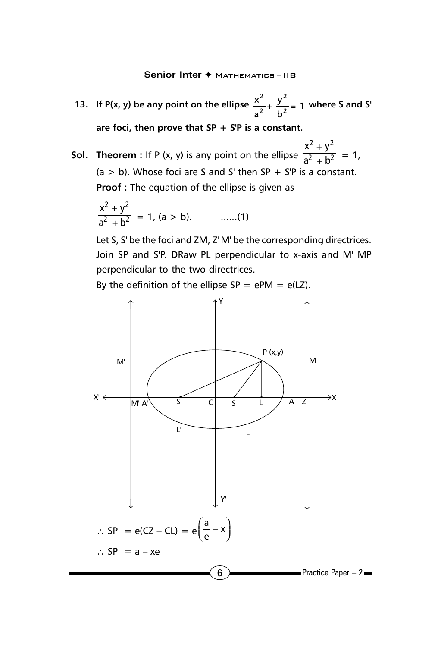- 13. If P(x, y) be any point on the ellipse  $\frac{x^2}{2} + \frac{y^2}{2}$  $\frac{x^2}{a^2} + \frac{y^2}{b^2} = 1$ **a b where S and S' are foci, then prove that SP + S'P is a constant.**
- **Sol. Theorem :** If P (x, y) is any point on the ellipse  $2 \perp v^2$ 2  $-h^2$  $x^2 + y$  $a^2 + b$ +  $\frac{1}{+b^2} = 1,$  $(a > b)$ . Whose foci are S and S' then SP + S'P is a constant. **Proof :** The equation of the ellipse is given as

$$
\frac{x^2 + y^2}{a^2 + b^2} = 1, (a > b). \qquad \qquad \dots (1)
$$

Let S, S' be the foci and ZM, Z' M' be the corresponding directrices. Join SP and S'P. DRaw PL perpendicular to x-axis and M' MP perpendicular to the two directrices.

By the definition of the ellipse  $SP = ePM = e(LZ)$ .

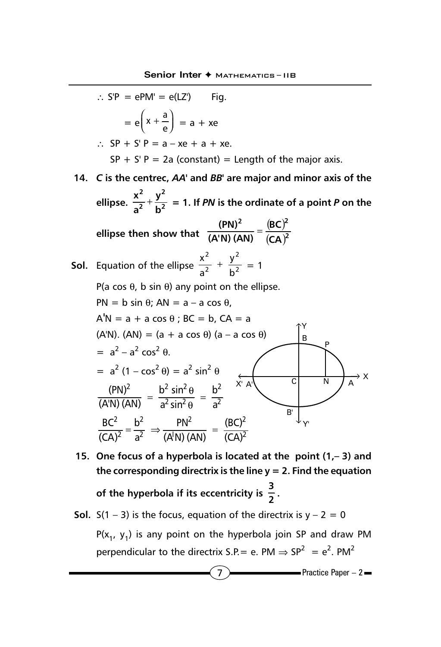$$
\therefore S'P = ePM' = e(LZ') \qquad \text{Fig.}
$$
\n
$$
= e\left(x + \frac{a}{e}\right) = a + xe
$$
\n
$$
\therefore SP + S'P = a - xe + a + xe.
$$
\n
$$
SP + S'P = 2a \text{ (constant)} = \text{Length of the major axis.}
$$
\n14. C is the centre, *AA'* and *BB'* are major and minor axis of the ellipse.  $\frac{x^2}{a^2} + \frac{y^2}{b^2} = 1$ . If *PN* is the ordinate of a point *P* on the ellipse then show that  $\frac{(PN)^2}{(A'N)(AN)} = \frac{(BC)^2}{(CA)^2}$   
\nSoI. Equation of the ellipse  $\frac{x^2}{a^2} + \frac{y^2}{b^2} = 1$   
\n
$$
P(a \cos \theta, b \sin \theta) \text{ any point on the ellipse.}
$$
\n
$$
PN = b \sin \theta; AN = a - a \cos \theta,
$$
\n
$$
A'N = a + a \cos \theta; BC = b, CA = a
$$
\n
$$
(AN). (AN) = (a + a \cos \theta) (a - a \cos \theta)
$$
\n
$$
= a^2 - a^2 \cos^2 \theta.
$$
\n
$$
= a^2 (1 - \cos^2 \theta) = a^2 \sin^2 \theta
$$
\n
$$
\frac{(PN)^2}{(AN)(AN)} = \frac{b^2 \sin^2 \theta}{a^2 \sin^2 \theta} = \frac{b^2}{a^2}
$$
\n
$$
\frac{BC^2}{(CA)^2} = \frac{b^2}{a^2} \Rightarrow \frac{PN^2}{(AN)(AN)} = \frac{(BC)^2}{(CA)^2}
$$

- **15. One focus of a hyperbola is located at the point (1,– 3) and the corresponding directrix is the line y = 2. Find the equation of the hyperbola if its eccentricity is**  $\frac{3}{2}$ **.**
- **Sol.**  $S(1 3)$  is the focus, equation of the directrix is  $y 2 = 0$  $P(x_1, y_1)$  is any point on the hyperbola join SP and draw PM perpendicular to the directrix S.P. = e. PM  $\Rightarrow$  SP<sup>2</sup> = e<sup>2</sup>. PM<sup>2</sup>

 $\overline{7}$  Practice Paper – 2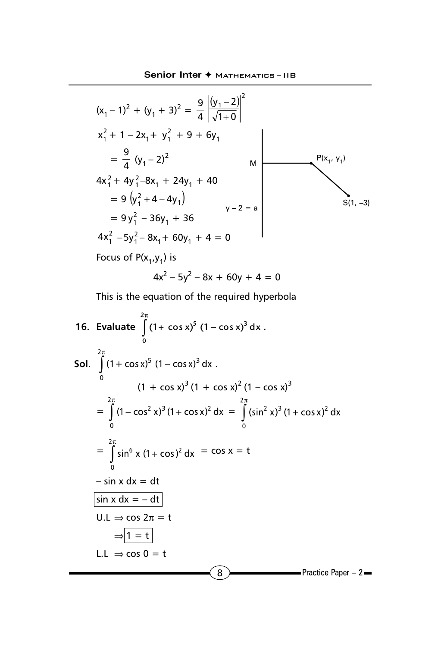$$
(x_1 - 1)^2 + (y_1 + 3)^2 = \frac{9}{4} \left| \frac{(y_1 - 2)}{\sqrt{1 + 0}} \right|^2
$$
  
\n
$$
x_1^2 + 1 - 2x_1 + y_1^2 + 9 + 6y_1
$$
  
\n
$$
= \frac{9}{4} (y_1 - 2)^2
$$
  
\n
$$
4x_1^2 + 4y_1^2 - 8x_1 + 24y_1 + 40
$$
  
\n
$$
= 9 (y_1^2 + 4 - 4y_1)
$$
  
\n
$$
= 9 y_1^2 - 36y_1 + 36
$$
  
\n
$$
4x_1^2 - 5y_1^2 - 8x_1 + 60y_1 + 4 = 0
$$
  
\n
$$
= 9 (x_1, y_1)
$$

$$
4x^2 - 5y^2 - 8x + 60y + 4 = 0
$$

This is the equation of the required hyperbola

16. Evaluate 
$$
\int_{0}^{2\pi} (1 + \cos x)^{5} (1 - \cos x)^{3} dx
$$
  
\n5ol. 
$$
\int_{0}^{2\pi} (1 + \cos x)^{5} (1 - \cos x)^{3} dx
$$
  
\n
$$
(1 + \cos x)^{3} (1 + \cos x)^{2} (1 - \cos x)^{3}
$$
  
\n
$$
= \int_{0}^{2\pi} (1 - \cos^{2} x)^{3} (1 + \cos x)^{2} dx = \int_{0}^{2\pi} (\sin^{2} x)^{3} (1 + \cos x)^{2} dx
$$
  
\n
$$
= \int_{0}^{2\pi} \sin^{6} x (1 + \cos^{2} x) dx = \cos x = t
$$
  
\n
$$
- \sin x dx = dt
$$
  
\n
$$
\sin x dx = -dt
$$
  
\n
$$
U.L \Rightarrow \cos 2\pi = t
$$
  
\n
$$
\Rightarrow \boxed{1 = t}
$$
  
\n
$$
L.L \Rightarrow \cos 0 = t
$$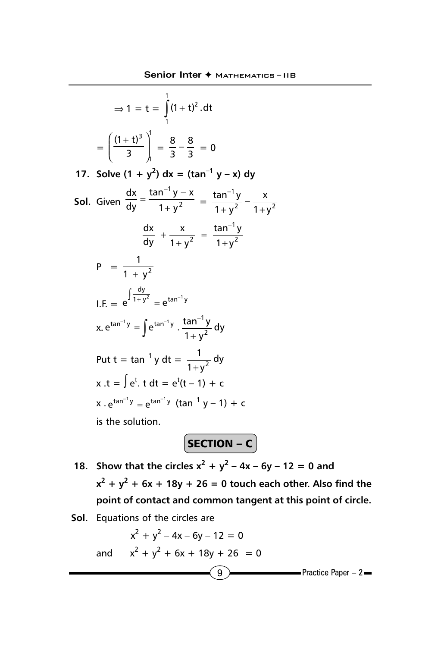$$
\Rightarrow 1 = t = \int_{1}^{1} (1 + t)^2 \, dt
$$

$$
= \left( \frac{(1 + t)^3}{3} \right)_1^1 = \frac{8}{3} - \frac{8}{3} = 0
$$

**17.** Solve  $(1 + y^2) dx = (\tan^{-1} y - x) dy$ 

**Sol.** Given  $\frac{1}{\sqrt{N}} = \frac{1}{1 + N^2}$ 1  $1 + y$ tan $^{-1}$  y  $-$  x dy dx +  $=\frac{\tan^{-1}y-}{2}$  $=\frac{2(2n+1)}{1+y^2}-\frac{n}{1+y^2}$ 1  $1 + y$ x  $1 + y$  $rac{\tan^{-1}y}{1+y^2} - \frac{y}{1+y^2}$ −  $\frac{1}{2} + \frac{1}{1+y^2} = \frac{1}{1+y^2}$ 1  $2 \t 1+y$ tan<sup>–1</sup> y  $1 + y$ x dy  $\frac{dx}{dy} + \frac{x}{1+y^2} = \frac{\tan x}{1+y^2}$ −  $P = \frac{1}{1 + y^2}$ +  $I.F. = e^{J_1 + y^2} = e^{tan^{-1}y}$  $e^{\int \frac{dy}{1+y^2}} = e^{\tan^{-1} x}$ x.  $e^{tan^{-1}y} = \int e^{tan^{-1}y} \cdot \frac{tan^{-1}y}{1 + y^2} dy$  $f^{-1}y = \int e^{tan^{-1}y} \cdot \frac{tan^{-1}y}{1+y}$ Put t = tan<sup>-1</sup> y dt =  $\frac{1}{1+y^2}$  dy  $+y^2$  $x .t = \int e^{t} . t dt = e^{t} (t - 1) + c$  $x \cdot e^{\tan^{-1} y} = e^{\tan^{-1} y}$  (tan<sup>-1</sup> y - 1) + c is the solution.

 $SECTION - C$ 

- **18.** Show that the circles  $x^2 + y^2 4x 6y 12 = 0$  and  $x^2 + y^2 + 6x + 18y + 26 = 0$  touch each other. Also find the **point of contact and common tangent at this point of circle.**
- **Sol.** Equations of the circles are

$$
x^{2} + y^{2} - 4x - 6y - 12 = 0
$$
  
and 
$$
x^{2} + y^{2} + 6x + 18y + 26 = 0
$$
  
9  
Practice Paper - 2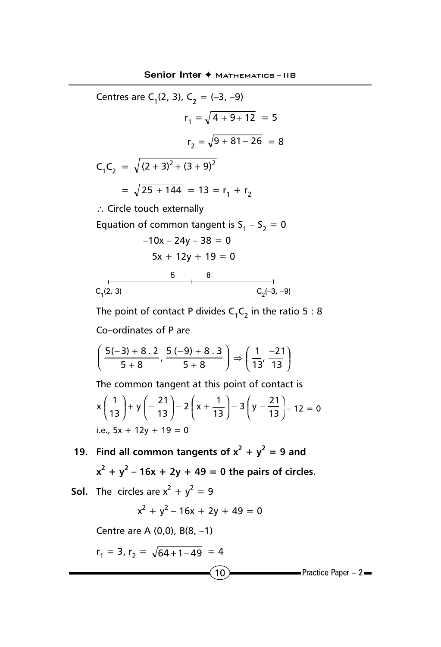Centres are C<sub>1</sub>(2, 3), C<sub>2</sub> = (-3, -9)  $r_1 = \sqrt{4 + 9 + 12} = 5$  $r_2 = \sqrt{9 + 81 - 26} = 8$  $C_1C_2 = \sqrt{(2 + 3)^2 + (3 + 9)^2}$  $=\sqrt{25 + 144} = 13 = r_1 + r_2$ ∴ Circle touch externally Equation of common tangent is  $S_1 - S_2 = 0$  $-10x - 24y - 38 = 0$  $5x + 12y + 19 = 0$ 

5 8

$$
C_1(2, 3)
$$

The point of contact P divides  $C_1C_2$  in the ratio 5 : 8 Co–ordinates of P are

C<sub>2</sub>(–3, –9)

$$
\left(\frac{5(-3)+8\cdot 2}{5+8}, \frac{5(-9)+8\cdot 3}{5+8}\right) \Rightarrow \left(\frac{1}{13}, \frac{-21}{13}\right)
$$

The common tangent at this point of contact is  $\big)$  $\left(y-\frac{21}{42}\right)$  $\left(x+\frac{1}{13}\right)-3\left(y-\right)$  $\left(-\frac{21}{13}\right) - 2\left(x + \frac{21}{13}\right)$  $\left(\frac{1}{13}\right)$ + y $\left(-\right)$ l ſ  $\left(\frac{21}{13}\right) - 2\left(x + \frac{1}{13}\right) - 3\left(y - \frac{21}{13}\right)$  $x\left(\frac{1}{13}\right) + y\left(-\frac{21}{13}\right) - 2\left(x + \frac{1}{13}\right) - 3\left(y - \frac{21}{13}\right) - 12 = 0$ i.e.,  $5x + 12y + 19 = 0$ 

- **19. Find all common tangents of**  $x^2 + y^2 = 9$  **and** 
	- $x^2 + y^2 16x + 2y + 49 = 0$  the pairs of circles.
- **Sol.** The circles are  $x^2 + y^2 = 9$

$$
x^2 + y^2 - 16x + 2y + 49 = 0
$$

Centre are A (0,0), B(8, –1)

$$
r_1 = 3, r_2 = \sqrt{64 + 1 - 49} = 4
$$

 $(10)$  Practice Paper – 2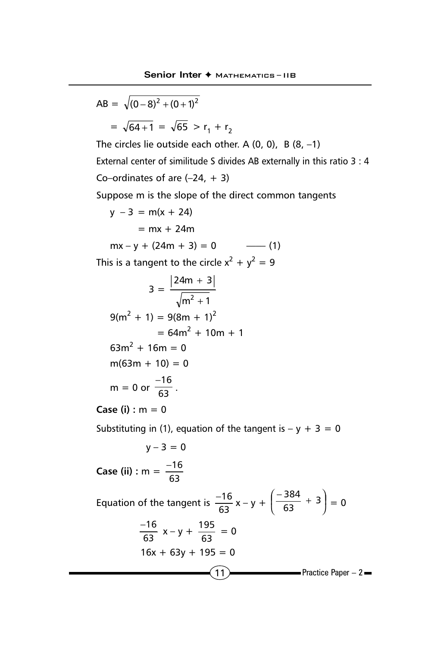$\boxed{11}$  Practice Paper – 2 AB =  $\sqrt{(0-8)^2 + (0+1)^2}$  $=\sqrt{64+1} = \sqrt{65} > r_1 + r_2$ The circles lie outside each other. A  $(0, 0)$ , B  $(8, -1)$ External center of similitude S divides AB externally in this ratio 3 : 4 Co–ordinates of are  $(-24, +3)$ Suppose m is the slope of the direct common tangents  $y - 3 = m(x + 24)$  $= mx + 24m$  $mx - v + (24m + 3) = 0$  ---- (1) This is a tangent to the circle  $x^2 + y^2 = 9$  $3 =$  $m^2 + 1$  $24m + 3$  $2^{+}$ +  $9(m^2 + 1) = 9(8m + 1)^2$  $= 64m^2 + 10m + 1$  $63m^2 + 16m = 0$  $m(63m + 10) = 0$  $m = 0$  or  $\frac{-16}{63}$ . **Case (i) :** m = 0 Substituting in (1), equation of the tangent is  $- y + 3 = 0$  $y - 3 = 0$ **Case (ii)** : m =  $\frac{1}{63}$ −16 Equation of the tangent is  $\frac{-16}{63}x - y + \left(\frac{-384}{63} + 3\right)$  $\left(\frac{-384}{63} + 3\right)$ l  $\left(\frac{-384}{63} + 3\right)$ 384  $= 0$ 63  $\frac{-16}{63}$  x – y +  $\frac{195}{63}$  = 0  $16x + 63y + 195 = 0$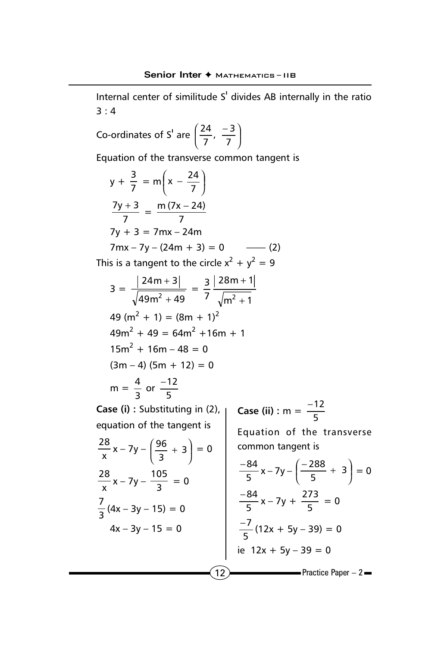Internal center of similitude S' divides AB internally in the ratio 3 : 4

Co-ordinates of S' are 
$$
\left(\frac{24}{7}, \frac{-3}{7}\right)
$$

Equation of the transverse common tangent is

$$
y + \frac{3}{7} = m\left(x - \frac{24}{7}\right)
$$
  
\n
$$
\frac{7y + 3}{7} = \frac{m(7x - 24)}{7}
$$
  
\n
$$
7y + 3 = 7mx - 24m
$$
  
\n
$$
7mx - 7y - (24m + 3) = 0
$$
 (2)  
\nThis is a tangent to the circle  $x^2 + y^2 = 9$   
\n
$$
3 = \frac{|24m + 3|}{\sqrt{49m^2 + 49}} = \frac{3}{7} \frac{|28m + 1|}{\sqrt{m^2 + 1}}
$$
  
\n
$$
49(m^2 + 1) = (8m + 1)^2
$$
  
\n
$$
49m^2 + 49 = 64m^2 + 16m + 1
$$
  
\n
$$
15m^2 + 16m - 48 = 0
$$
  
\n
$$
(3m - 4) (5m + 12) = 0
$$
  
\n
$$
m = \frac{4}{3} \text{ or } \frac{-12}{5}
$$
  
\nCase (i) : Substituting in (2),  
\n
$$
a = \frac{12}{5}
$$
  
\nCase (ii) : Substituting in (2),  
\n
$$
a = \frac{-12}{5}
$$
  
\n
$$
a = \frac{28}{x}x - 7y - \left(\frac{96}{3} + 3\right) = 0
$$
  
\n
$$
\frac{28}{x}x - 7y - \left(\frac{96}{3} + 3\right) = 0
$$
  
\n
$$
\frac{-84}{5}x - 7y - \left(\frac{-288}{5} + 3\right) = 0
$$
  
\n
$$
\frac{28}{3}(4x - 3y - 15) = 0
$$
  
\n
$$
\frac{7}{3}(4x - 3y - 15) = 0
$$
  
\n
$$
4x - 3y - 15 = 0
$$
  
\n
$$
\frac{-7}{5}(12x + 5y - 39) = 0
$$
  
\n
$$
\frac{-7}{5}(12x + 5y - 39) = 0
$$
  
\n
$$
\frac{-7}{5}x - 7y - \
$$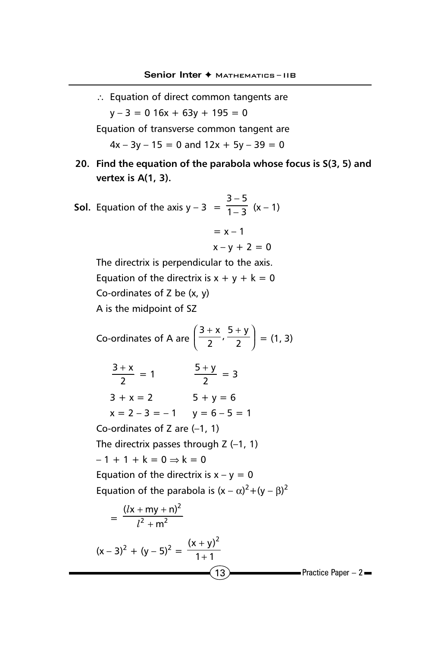∴ Equation of direct common tangents are  $y - 3 = 0$  16x + 63y + 195 = 0

Equation of transverse common tangent are

 $4x - 3y - 15 = 0$  and  $12x + 5y - 39 = 0$ 

- **20. Find the equation of the parabola whose focus is S(3, 5) and vertex is A(1, 3).**
- **Sol.** Equation of the axis  $y 3 = \frac{1}{1 3}$  $3 - 5$  $\frac{-5}{-3}$  (x – 1)

$$
= x - 1
$$
  

$$
x - y + 2 = 0
$$

The directrix is perpendicular to the axis. Equation of the directrix is  $x + y + k = 0$ Co-ordinates of Z be (x, y) A is the midpoint of SZ

 $(13)$  Practice Paper – 2 Co-ordinates of A are  $\left(\frac{3+\lambda}{2}, \frac{3+\lambda}{2}\right)$  $\left(\frac{3+x}{2},\frac{5+y}{2}\right)$ l  $(3 + x + 5 +$  $\frac{3+x}{2}$ ,  $\frac{5+y}{2}$  $=$  (1, 3) 2  $\frac{3+x}{2} = 1$   $\frac{5+y}{2} = 3$  $3 + x = 2$   $5 + y = 6$  $x = 2 - 3 = -1$   $y = 6 - 5 = 1$ Co-ordinates of Z are (–1, 1) The directrix passes through  $Z$  (-1, 1)  $-1 + 1 + k = 0 \Rightarrow k = 0$ Equation of the directrix is  $x - y = 0$ Equation of the parabola is  $(x - \alpha)^2 + (y - \beta)^2$  $=\frac{1}{l^2+m^2}$ 2 m  $(lx + my + n)$ +  $+$  my  $+$ l l  $(x-3)^2 + (y-5)^2 = \frac{(x+7)^2}{1+1}$  $(x + y)^2$ + +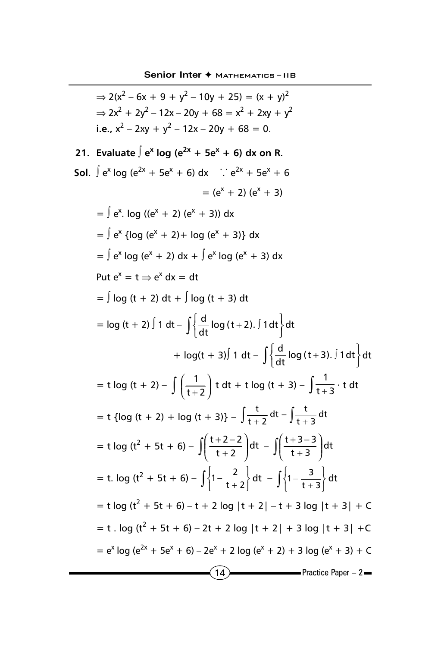$(14)$  Practice Paper – 2  $\Rightarrow$  2(x<sup>2</sup> – 6x + 9 + y<sup>2</sup> – 10y + 25) = (x + y)<sup>2</sup>  $\Rightarrow$  2x<sup>2</sup> + 2y<sup>2</sup> – 12x – 20y + 68 = x<sup>2</sup> + 2xy + y<sup>2</sup> **i.e.,**  $x^2 - 2xy + y^2 - 12x - 20y + 68 = 0$ . **21.** Evaluate  $\int e^{x} \log(e^{2x} + 5e^{x} + 6) dx$  on R. **Sol.**  $\int e^x \log(e^{2x} + 5e^x + 6) dx$  ∴  $e^{2x} + 5e^x + 6$  $= (e^{x} + 2) (e^{x} + 3)$  $=$   $\int e^{x}$ . log (( $e^{x} + 2$ ) ( $e^{x} + 3$ )) dx  $=$   $\int e^{x}$  {log (e<sup>x</sup> + 2) + log (e<sup>x</sup> + 3)} dx  $=$   $\int e^{x} \log(e^{x} + 2) dx + \int e^{x} \log(e^{x} + 3) dx$ Put  $e^x = t \Rightarrow e^x dx = dt$  $=$   $\int$  log (t + 2) dt +  $\int$  log (t + 3) dt  $= \log (t + 2) \int 1 dt - \int \left\{ \frac{d}{dt} \log (t + 2) \int 1 dt \right\}$  $\left\{\frac{d}{dt} \log{(t+2)}.\int 1 dt \right\}$ dt + log(t + 3)∫ 1 dt –  $\int \left\{ \frac{d}{dt} \log(t+3) . \int 1 dt \right\}$  $\left\{\frac{d}{dt} \log{(t+3)}.\int 1 dt \right\}$ dt  $=$  t log (t + 2) –  $\int \frac{1}{t+2}$  $\left(\frac{1}{\cdot} \right)$ l ſ  $\left(\frac{1}{t+2}\right)$  t dt + t log (t + 3) –  $\int \frac{1}{t+3} \cdot t$  dt  $=$  t {log (t + 2) + log (t + 3)} –  $\int \frac{t}{t+2} dt - \int \frac{t}{t+3} dt$ t  $=$  t log (t<sup>2</sup> + 5t + 6) –  $\int \left| \frac{t+2-2}{t+2} \right|$  $\overline{1}$  $\overline{\phantom{a}}$ I l ſ  $\left(\frac{t+2-2}{t+2}\right)dt - \int \left(\frac{t+3-3}{t+3}\right)$  $\overline{1}$  $\lambda$ I l ſ  $\left(\frac{+3-3}{t+3}\right)$ dt  $t + 3 - 3$  $=$  t. log (t<sup>2</sup> + 5t + 6) –  $\int_0^1 \left\{1 - \frac{2}{t+2}\right\}$  $\overline{1}$  $\mathsf{L}$ ₹  $\left\{1 - \frac{2}{t + 2}\right\} dt - \int_{1}^{t} \left\{1 - \frac{3}{t + 3}\right\}$  $\downarrow$  $\mathsf{I}$ ₹  $\left\{1-\frac{3}{t+3}\right\}$ dt  $=$  t log (t<sup>2</sup> + 5t + 6) – t + 2 log |t + 2| – t + 3 log |t + 3| + C  $=$  t . log (t<sup>2</sup> + 5t + 6) – 2t + 2 log |t + 2| + 3 log |t + 3| + C  $= e^{x} \log(e^{2x} + 5e^{x} + 6) - 2e^{x} + 2 \log(e^{x} + 2) + 3 \log(e^{x} + 3) + C$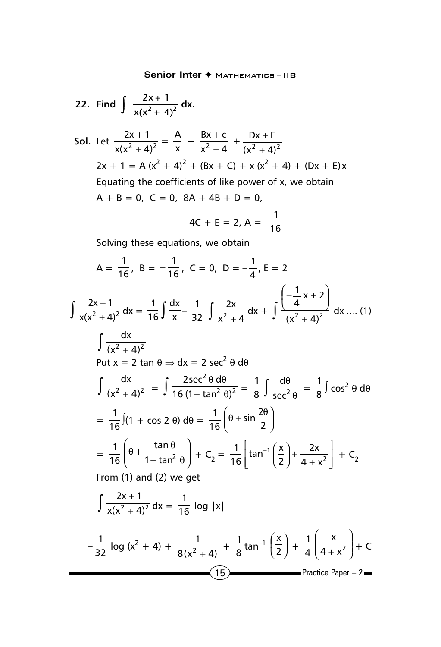22. Find 
$$
\int \frac{2x+1}{x(x^2+4)^2} dx
$$
.  
\n501. Let  $\frac{2x+1}{x(x^2+4)^2} = \frac{A}{x} + \frac{Bx+c}{x^2+4} + \frac{Dx+E}{(x^2+4)^2}$   
\n $2x + 1 = A(x^2 + 4)^2 + (Bx + C) + x(x^2 + 4) + (Dx + E)x$   
\nEquating the coefficients of like power of x, we obtain  
\n $A + B = 0, C = 0, 8A + 4B + D = 0,$   
\n $4C + E = 2, A = \frac{1}{16}$   
\nSolving these equations, we obtain  
\n
$$
A = \frac{1}{16}, B = -\frac{1}{16}, C = 0, D = -\frac{1}{4}, E = 2
$$
\n
$$
\int \frac{2x+1}{x(x^2+4)^2} dx = \frac{1}{16} \int \frac{dx}{x} - \frac{1}{32} \int \frac{2x}{x^2+4} dx + \int \frac{(-\frac{1}{4}x+2)}{(x^2+4)^2} dx ....(1)
$$
\n
$$
\int \frac{dx}{(x^2+4)^2}
$$
\nPut  $x = 2 \tan \theta \Rightarrow dx = 2 \sec^2 \theta d\theta$   
\n
$$
\int \frac{dx}{(x^2+4)^2} = \int \frac{2\sec^2 \theta d\theta}{16(1+\tan^2 \theta)^2} = \frac{1}{8} \int \frac{d\theta}{\sec^2 \theta} = \frac{1}{8} \int \cos^2 \theta d\theta
$$
\n
$$
= \frac{1}{16} \int (1 + \cos 2 \theta) d\theta = \frac{1}{16} \left(\theta + \sin \frac{2\theta}{2}\right)
$$
\n
$$
= \frac{1}{16} \left(\theta + \frac{\tan \theta}{1 + \tan^2 \theta}\right) + C_2 = \frac{1}{16} \left[\tan^{-1} \left(\frac{x}{2}\right) + \frac{2x}{4 + x^2}\right] + C_2
$$
\nFrom (1) and (2) we get  
\n
$$
\int \frac{2x+1}{x(x^2+4)^2} dx = \frac{1}{16} \log |x|
$$
\n
$$
= \frac{1}{32} \log (x^2
$$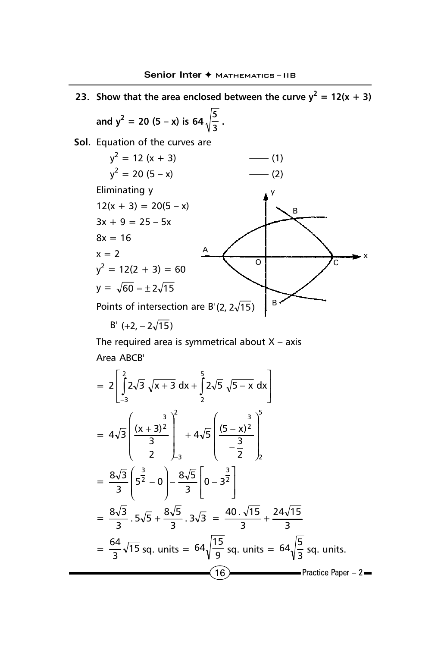

The required area is symmetrical about  $X - axis$ Area ABCB'

$$
= 2\left[\int_{-3}^{2} 2\sqrt{3} \sqrt{x+3} \, dx + \int_{2}^{5} 2\sqrt{5} \sqrt{5-x} \, dx\right]
$$
  
\n
$$
= 4\sqrt{3} \left(\frac{(x+3)^{\frac{3}{2}}}{\frac{3}{2}}\right)_{-3}^{2} + 4\sqrt{5} \left(\frac{(5-x)^{\frac{3}{2}}}{-\frac{3}{2}}\right)_{2}^{5}
$$
  
\n
$$
= \frac{8\sqrt{3}}{3} \left(\frac{3}{5} - 0\right) - \frac{8\sqrt{5}}{3} \left(0 - 3^{\frac{3}{2}}\right)
$$
  
\n
$$
= \frac{8\sqrt{3}}{3} \cdot 5\sqrt{5} + \frac{8\sqrt{5}}{3} \cdot 3\sqrt{3} = \frac{40 \cdot \sqrt{15}}{3} + \frac{24\sqrt{15}}{3}
$$
  
\n
$$
= \frac{64}{3} \sqrt{15} \text{ sq. units} = 64 \sqrt{\frac{15}{9}} \text{ sq. units} = 64 \sqrt{\frac{5}{3}} \text{ sq. units.}
$$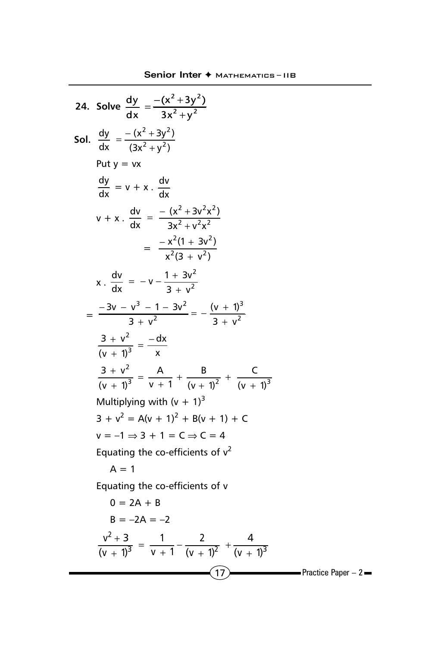24. Solve 
$$
\frac{dy}{dx} = \frac{-(x^2 + 3y^2)}{3x^2 + y^2}
$$
  
\nSoI.  $\frac{dy}{dx} = \frac{-(x^2 + 3y^2)}{(3x^2 + y^2)}$   
\nPut y = vx  
\n $\frac{dy}{dx} = v + x$ .  $\frac{dv}{dx}$   
\n $v + x$ .  $\frac{dv}{dx} = \frac{-(x^2 + 3v^2x^2)}{3x^2 + v^2x^2}$   
\n $= \frac{-x^2(1 + 3v^2)}{x^2(3 + v^2)}$   
\n $x$ .  $\frac{dv}{dx} = -v - \frac{1 + 3v^2}{3 + v^2}$   
\n $= \frac{-3v - v^3 - 1 - 3v^2}{3 + v^2} = -\frac{(v + 1)^3}{3 + v^2}$   
\n $\frac{3 + v^2}{(v + 1)^3} = \frac{-dx}{x}$   
\n $\frac{3 + v^2}{(v + 1)^3} = \frac{A}{v + 1} + \frac{B}{(v + 1)^2} + \frac{C}{(v + 1)^3}$   
\nMultiplying with  $(v + 1)^3$   
\n $3 + v^2 = A(v + 1)^2 + B(v + 1) + C$   
\n $v = -1 \Rightarrow 3 + 1 = C \Rightarrow C = 4$   
\nEquating the coefficients of  $v^2$   
\nA = 1  
\nEquating the coefficients of  $v^2$   
\nA = 1  
\nEquating the coefficients of  $v$   
\n $0 = 2A + B$   
\n $B = -2A = -2$   
\n $\frac{v^2 + 3}{(v + 1)^3} = \frac{1}{v + 1} - \frac{2}{(v + 1)^2} + \frac{4}{(v + 1)^3}$